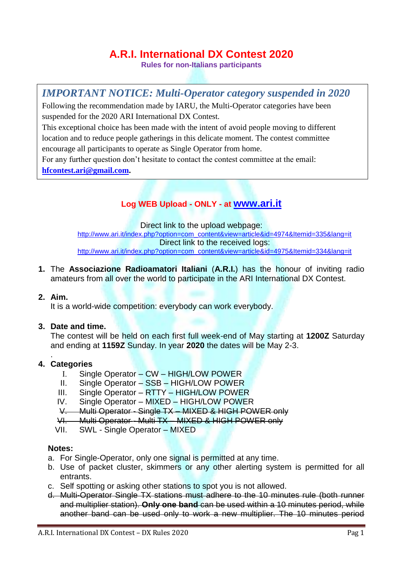# **A.R.I. International DX Contest 2020**

**Rules for non-Italians participants**

## *IMPORTANT NOTICE: Multi-Operator category suspended in 2020*

Following the recommendation made by IARU, the Multi-Operator categories have been suspended for the 2020 ARI International DX Contest.

This exceptional choice has been made with the intent of avoid people moving to different location and to reduce people gatherings in this delicate moment. The contest committee encourage all participants to operate as Single Operator from home.

For any further question don't hesitate to contact the contest committee at the email:

**[hfcontest.ari@gmail.com.](mailto:hfcontest.ari@gmail.com)**

## **Log WEB Upload - ONLY - at [www.ari.it](http://www.ari.it/)**

Direct link to the upload webpage: [http://www.ari.it/index.php?option=com\\_content&view=article&id=4974&Itemid=335&lang=it](http://www.ari.it/index.php?option=com_content&view=article&id=4974&Itemid=335&lang=it) Direct link to the received logs: [http://www.ari.it/index.php?option=com\\_content&view=article&id=4975&Itemid=334&lang=it](http://www.ari.it/index.php?option=com_content&view=article&id=4975&Itemid=334&lang=it)

**1.** The **Associazione Radioamatori Italiani** (**A.R.I.**) has the honour of inviting radio amateurs from all over the world to participate in the ARI International DX Contest.

## **2. Aim.**

.

It is a world-wide competition: everybody can work everybody.

## **3. Date and time.**

The contest will be held on each first full week-end of May starting at **1200Z** Saturday and ending at **1159Z** Sunday. In year **2020** the dates will be May 2-3.

## **4. Categories**

- Single Operator CW HIGH/LOW POWER
- II. Single Operator SSB HIGH/LOW POWER
- III. Single Operator RTTY HIGH/LOW POWER
- IV. Single Operator MIXED HIGH/LOW POWER
- V. Multi Operator Single TX MIXED & HIGH POWER only
- VI. Multi Operator Multi TX MIXED & HIGH POWER only
- VII. SWL Single Operator MIXED

#### **Notes:**

- a. For Single-Operator, only one signal is permitted at any time.
- b. Use of packet cluster, skimmers or any other alerting system is permitted for all entrants.
- c. Self spotting or asking other stations to spot you is not allowed.
- d. Multi-Operator Single TX stations must adhere to the 10 minutes rule (both runner and multiplier station). **Only one band** can be used within a 10 minutes period, while another band can be used only to work a new multiplier. The 10 minutes period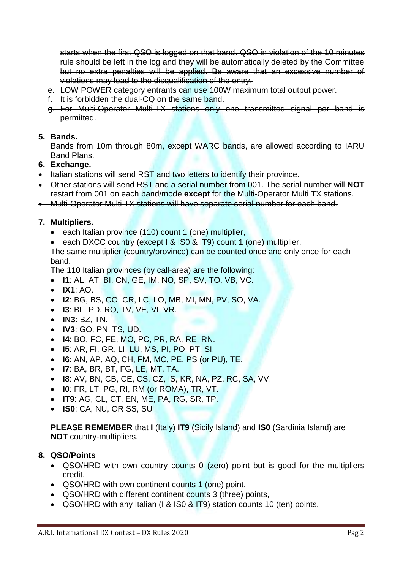starts when the first QSO is logged on that band. QSO in violation of the 10 minutes rule should be left in the log and they will be automatically deleted by the Committee but no extra penalties will be applied. Be aware that an excessive number of violations may lead to the disqualification of the entry.

- e. LOW POWER category entrants can use 100W maximum total output power.
- f. It is forbidden the dual-CQ on the same band.
- g. For Multi-Operator Multi-TX stations only one transmitted signal per band is permitted.

## **5. Bands.**

Bands from 10m through 80m, except WARC bands, are allowed according to IARU Band Plans.

## **6. Exchange.**

- Italian stations will send RST and two letters to identify their province.
- Other stations will send RST and a serial number from 001. The serial number will **NOT**  restart from 001 on each band/mode **except** for the Multi-Operator Multi TX stations.

Multi-Operator Multi TX stations will have separate serial number for each band.

## **7. Multipliers.**

- each Italian province (110) count 1 (one) multiplier,
- each DXCC country (except | & ISO & IT9) count 1 (one) multiplier.

The same multiplier (country/province) can be counted once and only once for each band.

The 110 Italian provinces (by call-area) are the following:

- **I1**: AL, AT, BI, CN, GE, IM, NO, SP, SV, TO, VB, VC.
- **IX1**: AO.
- **I2**: BG, BS, CO, CR, LC, LO, MB, MI, MN, PV, SO, VA.
- **I3**: BL, PD, RO, TV, VE, VI, VR.
- **IN3**: BZ, TN.
- **IV3**: GO, PN, TS, UD.
- **I4**: BO, FC, FE, MO, PC, PR, RA, RE, RN.
- **I5**: AR, FI, GR, LI, LU, MS, PI, PO, PT, SI.
- **I6**: AN, AP, AQ, CH, FM, MC, PE, PS (or PU), TE.
- **I7**: BA, BR, BT, FG, LE, MT, TA.
- **I8**: AV, BN, CB, CE, CS, CZ, IS, KR, NA, PZ, RC, SA, VV.
- **I0**: FR, LT, PG, RI, RM (or ROMA), TR, VT.
- **IT9**: AG, CL, CT, EN, ME, PA, RG, SR, TP.
- **IS0**: CA, NU, OR SS, SU

**PLEASE REMEMBER** that **I** (Italy) **IT9** (Sicily Island) and **IS0** (Sardinia Island) are **NOT** country-multipliers.

## **8. QSO/Points**

- QSO/HRD with own country counts 0 (zero) point but is good for the multipliers credit.
- QSO/HRD with own continent counts 1 (one) point,
- QSO/HRD with different continent counts 3 (three) points,
- QSO/HRD with any Italian (I & IS0 & IT9) station counts 10 (ten) points.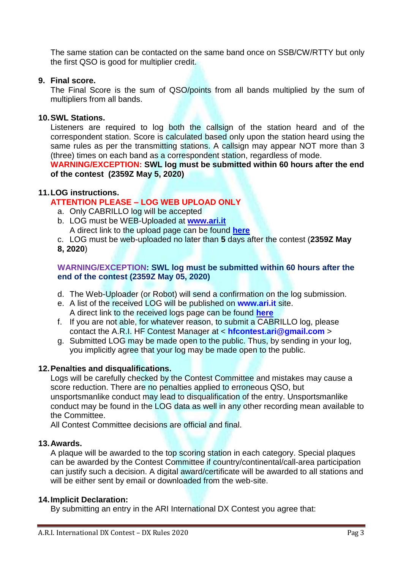The same station can be contacted on the same band once on SSB/CW/RTTY but only the first QSO is good for multiplier credit.

## **9. Final score.**

The Final Score is the sum of QSO/points from all bands multiplied by the sum of multipliers from all bands.

## **10.SWL Stations.**

Listeners are required to log both the callsign of the station heard and of the correspondent station. Score is calculated based only upon the station heard using the same rules as per the transmitting stations. A callsign may appear NOT more than 3 (three) times on each band as a correspondent station, regardless of mode.

## **WARNING/EXCEPTION: SWL log must be submitted within 60 hours after the end of the contest (2359Z May 5, 2020)**

## **11.LOG instructions.**

## **ATTENTION PLEASE – LOG WEB UPLOAD ONLY**

- a. Only CABRILLO log will be accepted
- b. LOG must be WEB-Uploaded at **[www.ari.it](http://www.ari.it/)** A direct link to the upload page can be found **[here](http://www.ari.it/index.php?option=com_content&view=article&id=4974&Itemid=335&lang=it)**
- c. LOG must be web-uploaded no later than **5** days after the contest (**2359Z May**
- **8, 2020**)

## **WARNING/EXCEPTION: SWL log must be submitted within 60 hours after the end of the contest (2359Z May 05, 2020)**

- d. The Web-Uploader (or Robot) will send a confirmation on the log submission.
- e. A list of the received LOG will be published on **www.ari.it** site. A direct link to the received logs page can be found **[here](http://www.ari.it/index.php?option=com_content&view=article&id=4975&Itemid=334&lang=it)**
- f. If you are not able, for whatever reason, to submit a CABRILLO log, please contact the A.R.I. HF Contest Manager at < **hfcontest.ari@gmail.com** >
- g. Submitted LOG may be made open to the public. Thus, by sending in your log, you implicitly agree that your log may be made open to the public.

## **12.Penalties and disqualifications.**

Logs will be carefully checked by the Contest Committee and mistakes may cause a score reduction. There are no penalties applied to erroneous QSO, but unsportsmanlike conduct may lead to disqualification of the entry. Unsportsmanlike conduct may be found in the LOG data as well in any other recording mean available to the Committee.

All Contest Committee decisions are official and final.

## **13.Awards.**

A plaque will be awarded to the top scoring station in each category. Special plaques can be awarded by the Contest Committee if country/continental/call-area participation can justify such a decision. A digital award/certificate will be awarded to all stations and will be either sent by email or downloaded from the web-site.

## **14.Implicit Declaration:**

By submitting an entry in the ARI International DX Contest you agree that: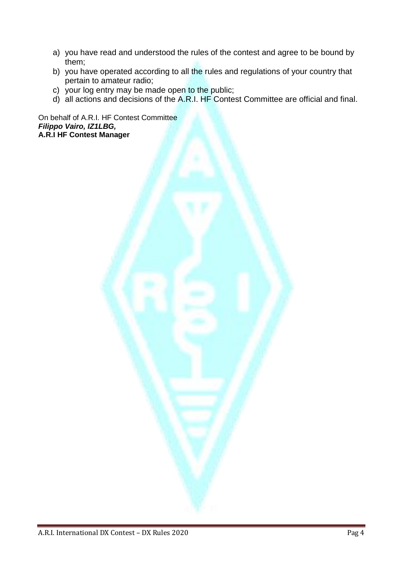- a) you have read and understood the rules of the contest and agree to be bound by them;
- b) you have operated according to all the rules and regulations of your country that pertain to amateur radio;
- c) your log entry may be made open to the public;
- d) all actions and decisions of the A.R.I. HF Contest Committee are official and final.

On behalf of A.R.I. HF Contest Committee *Filippo Vairo, IZ1LBG,* **A.R.I HF Contest Manager**